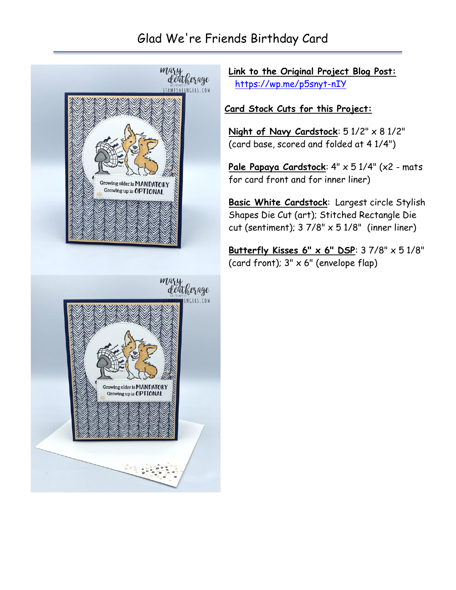## Glad We're Friends Birthday Card



**Link to the Original Project Blog Post:** <https://wp.me/p5snyt-nIY>

## **Card Stock Cuts for this Project:**

**Night of Navy Cardstock**: 5 1/2" x 8 1/2" (card base, scored and folded at 4 1/4")

**Pale Papaya Cardstock**: 4" x 5 1/4" (x2 - mats for card front and for inner liner)

**Basic White Cardstock**: Largest circle Stylish Shapes Die Cut (art); Stitched Rectangle Die cut (sentiment);  $37/8$ "  $\times$   $51/8$ " (inner liner)

**Butterfly Kisses 6" x 6" DSP**: 3 7/8" x 5 1/8" (card front);  $3" \times 6"$  (envelope flap)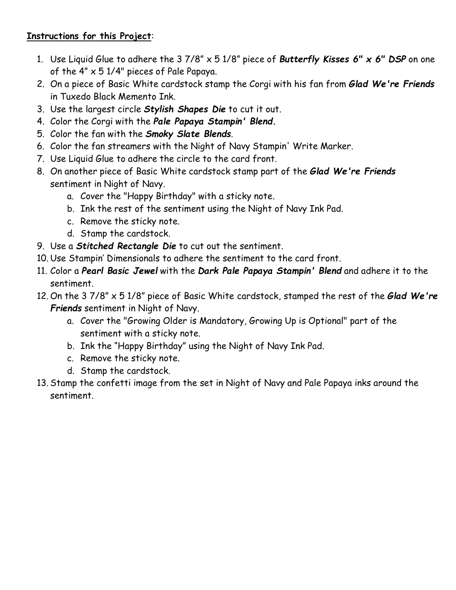## **Instructions for this Project**:

- 1. Use Liquid Glue to adhere the 3 7/8" x 5 1/8" piece of *Butterfly Kisses 6" x 6" DSP* on one of the  $4'' \times 51/4''$  pieces of Pale Papaya.
- 2. On a piece of Basic White cardstock stamp the Corgi with his fan from *Glad We're Friends* in Tuxedo Black Memento Ink.
- 3. Use the largest circle *Stylish Shapes Die* to cut it out.
- 4. Color the Corgi with the *Pale Papaya Stampin' Blend.*
- 5. Color the fan with the *Smoky Slate Blends*.
- 6. Color the fan streamers with the Night of Navy Stampin' Write Marker.
- 7. Use Liquid Glue to adhere the circle to the card front.
- 8. On another piece of Basic White cardstock stamp part of the *Glad We're Friends* sentiment in Night of Navy.
	- a. Cover the "Happy Birthday" with a sticky note.
	- b. Ink the rest of the sentiment using the Night of Navy Ink Pad.
	- c. Remove the sticky note.
	- d. Stamp the cardstock.
- 9. Use a *Stitched Rectangle Die* to cut out the sentiment.
- 10. Use Stampin' Dimensionals to adhere the sentiment to the card front.
- 11. Color a *Pearl Basic Jewel* with the *Dark Pale Papaya Stampin' Blend* and adhere it to the sentiment.
- 12. On the 3 7/8" x 5 1/8" piece of Basic White cardstock, stamped the rest of the *Glad We're Friends* sentiment in Night of Navy.
	- a. Cover the "Growing Older is Mandatory, Growing Up is Optional" part of the sentiment with a sticky note.
	- b. Ink the "Happy Birthday" using the Night of Navy Ink Pad.
	- c. Remove the sticky note.
	- d. Stamp the cardstock.
- 13. Stamp the confetti image from the set in Night of Navy and Pale Papaya inks around the sentiment.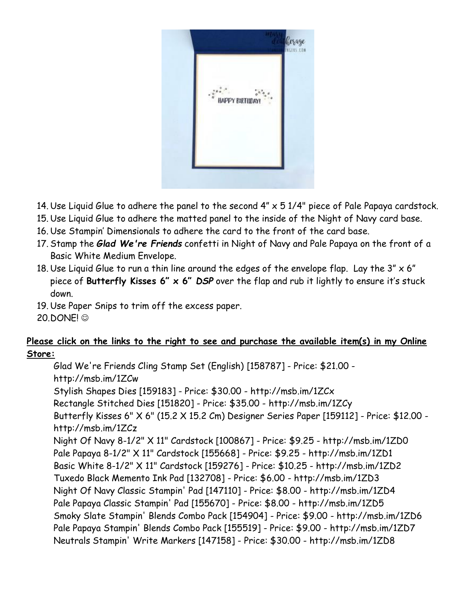

- 14. Use Liquid Glue to adhere the panel to the second  $4'' \times 51/4''$  piece of Pale Papaya cardstock.
- 15. Use Liquid Glue to adhere the matted panel to the inside of the Night of Navy card base.
- 16. Use Stampin' Dimensionals to adhere the card to the front of the card base.
- 17. Stamp the *Glad We're Friends* confetti in Night of Navy and Pale Papaya on the front of a Basic White Medium Envelope.
- 18. Use Liquid Glue to run a thin line around the edges of the envelope flap. Lay the  $3'' \times 6''$ piece of **Butterfly Kisses 6" x 6"** *DSP* over the flap and rub it lightly to ensure it's stuck down.
- 19. Use Paper Snips to trim off the excess paper.
- 20.DONE! ☺

## **Please click on the links to the right to see and purchase the available item(s) in my Online Store:**

Glad We're Friends Cling Stamp Set (English) [158787] - Price: \$21.00 http://msb.im/1ZCw Stylish Shapes Dies [159183] - Price: \$30.00 - http://msb.im/1ZCx Rectangle Stitched Dies [151820] - Price: \$35.00 - http://msb.im/1ZCy Butterfly Kisses 6" X 6" (15.2 X 15.2 Cm) Designer Series Paper [159112] - Price: \$12.00 http://msb.im/1ZCz Night Of Navy 8-1/2" X 11" Cardstock [100867] - Price: \$9.25 - http://msb.im/1ZD0 Pale Papaya 8-1/2" X 11" Cardstock [155668] - Price: \$9.25 - http://msb.im/1ZD1 Basic White 8-1/2" X 11" Cardstock [159276] - Price: \$10.25 - http://msb.im/1ZD2 Tuxedo Black Memento Ink Pad [132708] - Price: \$6.00 - http://msb.im/1ZD3 Night Of Navy Classic Stampin' Pad [147110] - Price: \$8.00 - http://msb.im/1ZD4 Pale Papaya Classic Stampin' Pad [155670] - Price: \$8.00 - http://msb.im/1ZD5 Smoky Slate Stampin' Blends Combo Pack [154904] - Price: \$9.00 - http://msb.im/1ZD6 Pale Papaya Stampin' Blends Combo Pack [155519] - Price: \$9.00 - http://msb.im/1ZD7 Neutrals Stampin' Write Markers [147158] - Price: \$30.00 - http://msb.im/1ZD8